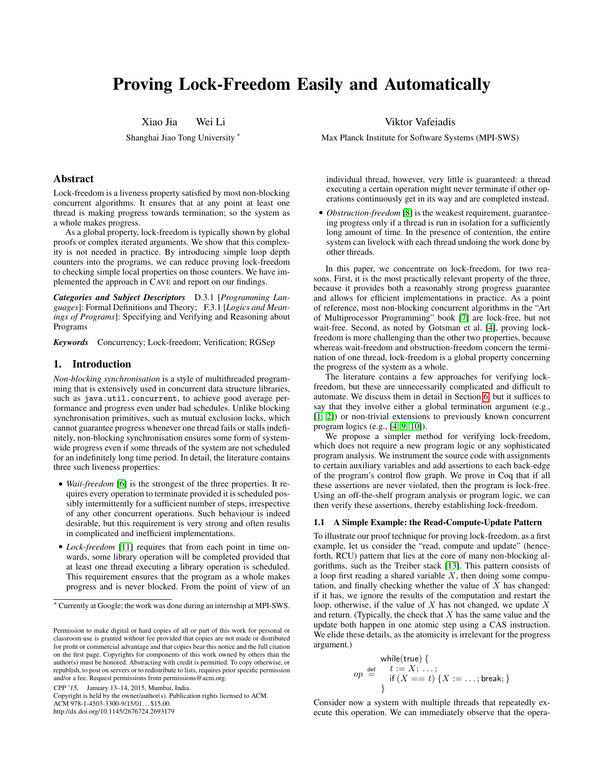# Proving Lock-Freedom Easily and Automatically

Xiao Jia Wei Li

Shanghai Jiao Tong University <sup>∗</sup>

## Abstract

Lock-freedom is a liveness property satisfied by most non-blocking concurrent algorithms. It ensures that at any point at least one thread is making progress towards termination; so the system as a whole makes progress.

As a global property, lock-freedom is typically shown by global proofs or complex iterated arguments. We show that this complexity is not needed in practice. By introducing simple loop depth counters into the programs, we can reduce proving lock-freedom to checking simple local properties on those counters. We have implemented the approach in CAVE and report on our findings.

*Categories and Subject Descriptors* D.3.1 [*Programming Languages*]: Formal Definitions and Theory; F.3.1 [*Logics and Meanings of Programs*]: Specifying and Verifying and Reasoning about Programs

*Keywords* Concurrency; Lock-freedom; Verification; RGSep

# 1. Introduction

*Non-blocking synchronisation* is a style of multithreaded programming that is extensively used in concurrent data structure libraries, such as java.util.concurrent, to achieve good average performance and progress even under bad schedules. Unlike blocking synchronisation primitives, such as mutual exclusion locks, which cannot guarantee progress whenever one thread fails or stalls indefinitely, non-blocking synchronisation ensures some form of systemwide progress even if some threads of the system are not scheduled for an indefinitely long time period. In detail, the literature contains three such liveness properties:

- *Wait-freedom* [\[6\]](#page-8-0) is the strongest of the three properties. It requires every operation to terminate provided it is scheduled possibly intermittently for a sufficient number of steps, irrespective of any other concurrent operations. Such behaviour is indeed desirable, but this requirement is very strong and often results in complicated and inefficient implementations.
- *Lock-freedom* [\[11\]](#page-8-1) requires that from each point in time onwards, some library operation will be completed provided that at least one thread executing a library operation is scheduled. This requirement ensures that the program as a whole makes progress and is never blocked. From the point of view of an

CPP '15, January 13–14, 2015, Mumbai, India.

Copyright is held by the owner/author(s). Publication rights licensed to ACM. ACM 978-1-4503-3300-9/15/01... \$15.00.

http://dx.doi.org/10.1145/2676724.2693179

Viktor Vafeiadis

Max Planck Institute for Software Systems (MPI-SWS)

individual thread, however, very little is guaranteed: a thread executing a certain operation might never terminate if other operations continuously get in its way and are completed instead.

• *Obstruction-freedom* [\[8\]](#page-8-2) is the weakest requirement, guaranteeing progress only if a thread is run in isolation for a sufficiently long amount of time. In the presence of contention, the entire system can livelock with each thread undoing the work done by other threads.

In this paper, we concentrate on lock-freedom, for two reasons. First, it is the most practically relevant property of the three, because it provides both a reasonably strong progress guarantee and allows for efficient implementations in practice. As a point of reference, most non-blocking concurrent algorithms in the "Art of Multiprocessor Programming" book [\[7\]](#page-8-3) are lock-free, but not wait-free. Second, as noted by Gotsman et al. [\[4\]](#page-8-4), proving lockfreedom is more challenging than the other two properties, because whereas wait-freedom and obstruction-freedom concern the termination of one thread, lock-freedom is a global property concerning the progress of the system as a whole.

The literature contains a few approaches for verifying lockfreedom, but these are unnecessarily complicated and difficult to automate. We discuss them in detail in Section [6,](#page-7-0) but it suffices to say that they involve either a global termination argument (e.g., [\[1,](#page-8-5) [2\]](#page-8-6)) or non-trivial extensions to previously known concurrent program logics (e.g., [\[4,](#page-8-4) [9,](#page-8-7) [10\]](#page-8-8)).

We propose a simpler method for verifying lock-freedom, which does not require a new program logic or any sophisticated program analysis. We instrument the source code with assignments to certain auxiliary variables and add assertions to each back-edge of the program's control flow graph. We prove in Coq that if all these assertions are never violated, then the program is lock-free. Using an off-the-shelf program analysis or program logic, we can then verify these assertions, thereby establishing lock-freedom.

#### <span id="page-0-0"></span>1.1 A Simple Example: the Read-Compute-Update Pattern

To illustrate our proof technique for proving lock-freedom, as a first example, let us consider the "read, compute and update" (henceforth, RCU) pattern that lies at the core of many non-blocking algorithms, such as the Treiber stack [\[13\]](#page-8-9). This pattern consists of a loop first reading a shared variable  $X$ , then doing some computation, and finally checking whether the value of  $X$  has changed: if it has, we ignore the results of the computation and restart the loop, otherwise, if the value of  $X$  has not changed, we update  $X$ and return. (Typically, the check that  $X$  has the same value and the update both happen in one atomic step using a CAS instruction. We elide these details, as the atomicity is irrelevant for the progress argument.)

$$
op \stackrel{\text{while}(\text{true}) \ \{}{=} \ \ if \ (X == t) \ \{X := \dots; \text{break}; \}
$$
\n
$$
\}
$$

Consider now a system with multiple threads that repeatedly execute this operation. We can immediately observe that the opera-

<sup>∗</sup> Currently at Google; the work was done during an internship at MPI-SWS.

Permission to make digital or hard copies of all or part of this work for personal or classroom use is granted without fee provided that copies are not made or distributed for profit or commercial advantage and that copies bear this notice and the full citation on the first page. Copyrights for components of this work owned by others than the author(s) must be honored. Abstracting with credit is permitted. To copy otherwise, or republish, to post on servers or to redistribute to lists, requires prior specific permission and/or a fee. Request permissions from permissions@acm.org.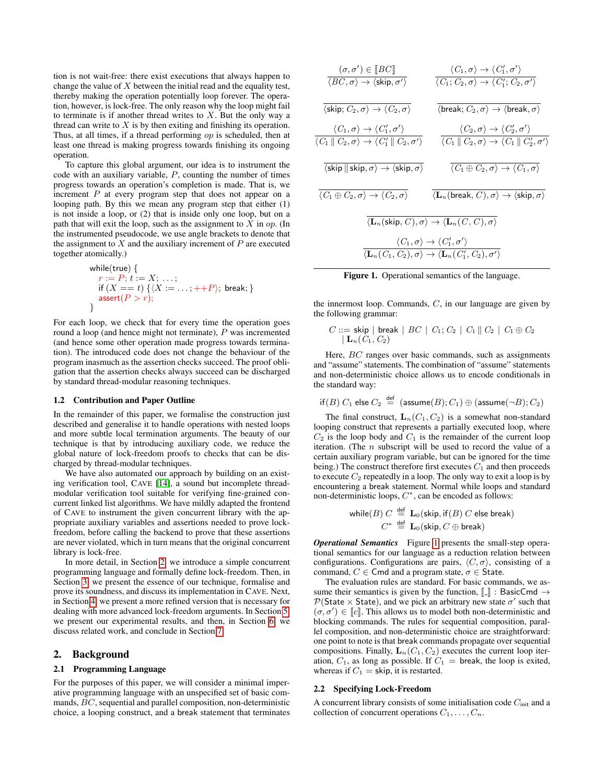tion is not wait-free: there exist executions that always happen to change the value of  $X$  between the initial read and the equality test, thereby making the operation potentially loop forever. The operation, however, is lock-free. The only reason why the loop might fail to terminate is if another thread writes to  $X$ . But the only way a thread can write to  $X$  is by then exiting and finishing its operation. Thus, at all times, if a thread performing op is scheduled, then at least one thread is making progress towards finishing its ongoing operation.

To capture this global argument, our idea is to instrument the code with an auxiliary variable,  $P$ , counting the number of times progress towards an operation's completion is made. That is, we increment P at every program step that does not appear on a looping path. By this we mean any program step that either (1) is not inside a loop, or (2) that is inside only one loop, but on a path that will exit the loop, such as the assignment to  $X$  in  $op$ . (In the instrumented pseudocode, we use angle brackets to denote that the assignment to  $\overline{X}$  and the auxiliary increment of  $P$  are executed together atomically.)

$$
\begin{array}{l}\text{while}(\text{true}) \left\{ \begin{array}{l} r := P; t := X; \dots; \\ \text{if} \ (X == t) \ \{ \langle X := \dots; ++P \rangle; \ \text{break}; \} \end{array} \right. \\ \text{assert}(P > r); \end{array} \end{array}
$$

For each loop, we check that for every time the operation goes round a loop (and hence might not terminate), P was incremented (and hence some other operation made progress towards termination). The introduced code does not change the behaviour of the program inasmuch as the assertion checks succeed. The proof obligation that the assertion checks always succeed can be discharged by standard thread-modular reasoning techniques.

#### 1.2 Contribution and Paper Outline

In the remainder of this paper, we formalise the construction just described and generalise it to handle operations with nested loops and more subtle local termination arguments. The beauty of our technique is that by introducing auxiliary code, we reduce the global nature of lock-freedom proofs to checks that can be discharged by thread-modular techniques.

We have also automated our approach by building on an existing verification tool, CAVE [\[14\]](#page-8-10), a sound but incomplete threadmodular verification tool suitable for verifying fine-grained concurrent linked list algorithms. We have mildly adapted the frontend of CAVE to instrument the given concurrent library with the appropriate auxiliary variables and assertions needed to prove lockfreedom, before calling the backend to prove that these assertions are never violated, which in turn means that the original concurrent library is lock-free.

In more detail, in Section [2,](#page-1-0) we introduce a simple concurrent programming language and formally define lock-freedom. Then, in Section [3,](#page-2-0) we present the essence of our technique, formalise and prove its soundness, and discuss its implementation in CAVE. Next, in Section [4,](#page-6-0) we present a more refined version that is necessary for dealing with more advanced lock-freedom arguments. In Section [5,](#page-7-1) we present our experimental results, and then, in Section [6,](#page-7-0) we discuss related work, and conclude in Section [7.](#page-8-11)

## <span id="page-1-0"></span>2. Background

#### 2.1 Programming Language

For the purposes of this paper, we will consider a minimal imperative programming language with an unspecified set of basic commands, BC, sequential and parallel composition, non-deterministic choice, a looping construct, and a break statement that terminates

$$
\frac{(\sigma, \sigma') \in [BC]}{\langle BC, \sigma \rangle \to \langle \text{skip}, \sigma' \rangle} \qquad \frac{\langle C_1, \sigma \rangle \to \langle C'_1, \sigma' \rangle}{\langle C_1; C_2, \sigma \rangle \to \langle C'_1; C_2, \sigma' \rangle}
$$
\n
$$
\frac{\langle \text{skip}; C_2, \sigma \rangle \to \langle C_2, \sigma \rangle}{\langle \text{style}; C_2, \sigma \rangle \to \langle C_2, \sigma \rangle} \qquad \frac{\langle C_1; C_2, \sigma \rangle \to \langle C'_1; C_2, \sigma' \rangle}{\langle \text{break}; C_2, \sigma \rangle \to \langle \text{break}, \sigma \rangle}
$$
\n
$$
\frac{\langle C_1, \sigma \rangle \to \langle C'_1, \sigma' \rangle}{\langle C_1 || C_2, \sigma \rangle \to \langle C'_1 || C_2, \sigma' \rangle} \qquad \frac{\langle C_2, \sigma \rangle \to \langle C'_2, \sigma' \rangle}{\langle C_1 || C_2, \sigma \rangle \to \langle C_1 || C'_2, \sigma' \rangle}
$$
\n
$$
\frac{\langle C_1 \oplus C_2, \sigma \rangle \to \langle C_1, \sigma \rangle}{\langle C_1 \oplus C_2, \sigma \rangle \to \langle C_1, \sigma \rangle}
$$
\n
$$
\frac{\langle C_1 \oplus C_2, \sigma \rangle \to \langle C_1, \sigma \rangle}{\langle \text{L}_n(\text{break}, C), \sigma \rangle \to \langle \text{skip}, \sigma \rangle}
$$
\n
$$
\frac{\langle C_1, \sigma \rangle \to \langle C'_1, \sigma' \rangle}{\langle \text{L}_n(C_1, C_2), \sigma \rangle \to \langle \text{L}_n(C'_1, C_2), \sigma' \rangle}
$$

<span id="page-1-1"></span>Figure 1. Operational semantics of the language.

the innermost loop. Commands,  $C$ , in our language are given by the following grammar:

$$
C ::= \mathsf{skip} \mid \mathsf{break} \mid \mathsf{BC} \mid C_1; C_2 \mid C_1 \parallel C_2 \mid C_1 \oplus C_2
$$
  

$$
\mid \mathbf{L}_n(C_1, C_2)
$$

Here, *BC* ranges over basic commands, such as assignments and "assume" statements. The combination of "assume" statements and non-deterministic choice allows us to encode conditionals in the standard way:

$$
\mathsf{if}(B)\ C_1 \ \mathsf{else} \ C_2 \ \stackrel{\mathsf{def}}{=} \ (\mathsf{assume}(B);C_1) \oplus (\mathsf{assume}(\neg B);C_2)
$$

The final construct,  $L_n(C_1, C_2)$  is a somewhat non-standard looping construct that represents a partially executed loop, where  $C_2$  is the loop body and  $C_1$  is the remainder of the current loop iteration. (The  $n$  subscript will be used to record the value of a certain auxiliary program variable, but can be ignored for the time being.) The construct therefore first executes  $C_1$  and then proceeds to execute  $C_2$  repeatedly in a loop. The only way to exit a loop is by encountering a break statement. Normal while loops and standard non-deterministic loops,  $C^*$ , can be encoded as follows:

$$
\begin{array}{rl}\text{while}(B)\ C \ \stackrel{\text{def}}{=} \ \mathbf{L}_0(\text{skip},\text{if}(B)\ C\ \text{else break})\\ C^* \ \stackrel{\text{def}}{=} \ \mathbf{L}_0(\text{skip},C\oplus\text{break})\end{array}
$$

*Operational Semantics* Figure [1](#page-1-1) presents the small-step operational semantics for our language as a reduction relation between configurations. Configurations are pairs,  $\langle C, \sigma \rangle$ , consisting of a command,  $C \in \mathsf{C}$ md and a program state,  $\sigma \in \mathsf{State}$ .

The evaluation rules are standard. For basic commands, we assume their semantics is given by the function,  $\llbracket \_ \ \rbrack$  : BasicCmd  $\rightarrow$ P(State  $\times$  State), and we pick an arbitrary new state  $\sigma'$  such that  $(\sigma, \sigma') \in \llbracket c \rrbracket$ . This allows us to model both non-deterministic and blocking commands. The rules for sequential composition, parallel composition, and non-deterministic choice are straightforward: one point to note is that break commands propagate over sequential compositions. Finally,  $\mathbf{L}_n(C_1, C_2)$  executes the current loop iteration,  $C_1$ , as long as possible. If  $C_1$  = break, the loop is exited, whereas if  $C_1 =$  skip, it is restarted.

#### 2.2 Specifying Lock-Freedom

A concurrent library consists of some initialisation code  $C<sub>init</sub>$  and a collection of concurrent operations  $C_1, \ldots, C_n$ .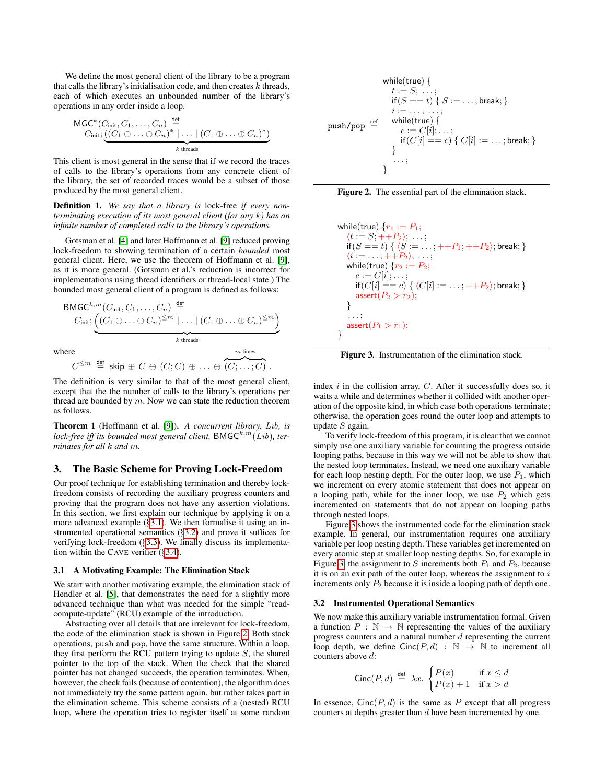We define the most general client of the library to be a program that calls the library's initialisation code, and then creates  $k$  threads, each of which executes an unbounded number of the library's operations in any order inside a loop.

$$
\mathsf{MGC}^k(C_{\mathsf{init}}, C_1, \ldots, C_n) \stackrel{\text{def}}{=} \newline C_{\mathsf{init}}: \underbrace{((C_1 \oplus \ldots \oplus C_n)^* \mid \ldots \mid \mid (C_1 \oplus \ldots \oplus C_n)^*)}_{k \text{ threads}}
$$

This client is most general in the sense that if we record the traces of calls to the library's operations from any concrete client of the library, the set of recorded traces would be a subset of those produced by the most general client.

#### Definition 1. *We say that a library is* lock-free *if every nonterminating execution of its most general client (for any* k*) has an infinite number of completed calls to the library's operations.*

Gotsman et al. [\[4\]](#page-8-4) and later Hoffmann et al. [\[9\]](#page-8-7) reduced proving lock-freedom to showing termination of a certain *bounded* most general client. Here, we use the theorem of Hoffmann et al. [\[9\]](#page-8-7), as it is more general. (Gotsman et al.'s reduction is incorrect for implementations using thread identifiers or thread-local state.) The bounded most general client of a program is defined as follows:

$$
\mathsf{BMGC}^{k,m}(C_{\mathsf{init}},C_1,\ldots,C_n) \stackrel{\mathsf{def}}{=} \newline C_{\mathsf{init}} \cdot \underbrace{\left((C_1 \oplus \ldots \oplus C_n)^{\leq m} \mid \ldots \mid (C_1 \oplus \ldots \oplus C_n)^{\leq m}\right)}_{k \text{ threads}}
$$

where

$$
C^{\leq m} \stackrel{\text{def}}{=} \text{skip} \oplus C \oplus (C;C) \oplus \ldots \oplus \overbrace{(C;\ldots;C)}^{m \text{ times}}.
$$

The definition is very similar to that of the most general client, except that the the number of calls to the library's operations per thread are bounded by  $m$ . Now we can state the reduction theorem as follows.

<span id="page-2-5"></span>Theorem 1 (Hoffmann et al. [\[9\]](#page-8-7)). *A concurrent library,* Lib*, is lock-free iff its bounded most general client,* BMGC<sup> $k,m$ </sup>(Lib), ter*minates for all* k *and* m*.*

## <span id="page-2-0"></span>3. The Basic Scheme for Proving Lock-Freedom

Our proof technique for establishing termination and thereby lockfreedom consists of recording the auxiliary progress counters and proving that the program does not have any assertion violations. In this section, we first explain our technique by applying it on a more advanced example  $(\S3.1)$  $(\S3.1)$ . We then formalise it using an instrumented operational semantics  $(\S3.2)$  $(\S3.2)$  and prove it suffices for verifying lock-freedom (§[3.3\)](#page-3-0). We finally discuss its implementation within the CAVE verifier (§[3.4\)](#page-5-0).

#### <span id="page-2-1"></span>3.1 A Motivating Example: The Elimination Stack

We start with another motivating example, the elimination stack of Hendler et al. [\[5\]](#page-8-12), that demonstrates the need for a slightly more advanced technique than what was needed for the simple "readcompute-update" (RCU) example of the introduction.

Abstracting over all details that are irrelevant for lock-freedom, the code of the elimination stack is shown in Figure [2.](#page-2-3) Both stack operations, push and pop, have the same structure. Within a loop, they first perform the RCU pattern trying to update S, the shared pointer to the top of the stack. When the check that the shared pointer has not changed succeeds, the operation terminates. When, however, the check fails (because of contention), the algorithm does not immediately try the same pattern again, but rather takes part in the elimination scheme. This scheme consists of a (nested) RCU loop, where the operation tries to register itself at some random

$$
\begin{array}{r}\n\text{while}(\text{true}) \{ \\
t := S; \dots; \\
\text{if}(S == t) \{ S := \dots; \text{break}; \} \\
i := \dots; \dots; \\
\text{push/pop} \stackrel{\text{def}}{=} \begin{array}{r}\n\text{while}(\text{true}) \{ \\
\text{while}(\text{true}) \{ \\
c := C[i]; \dots; \\
\text{if}(C[i] == c) \{ C[i] := \dots; \text{break}; \} \\
\text{and} \\
\text{if}(C[i] == c) \{ C[i] := \dots; \text{break}; \} \\
\text{if}(C[i] == c) \{ C[i] := \dots; \text{break}; \} \\
\end{array}
$$

<span id="page-2-3"></span>

$$
\begin{array}{ll}\text{while}(\text{true})\ \{r_1 := P_1;\\ \langle t := S; ++P_2 \rangle; \ \ldots;\\ \text{if}(S == t) \ \{ \ \langle S := \ldots; ++P_1; ++P_2 \rangle; \text{break}; \ \} \\ \langle i := \ldots; ++P_2 \rangle; \ \ldots;\\ \text{while}(\text{true})\ \{r_2 := P_2;\\ c := C[i]; \ldots;\\ &\quad \text{if}(C[i] == c) \ \{ \ \langle C[i] := \ldots; ++P_2 \rangle; \text{break}; \ \} \\ &\quad \text{assert}(P_2 > r_2);\\ \} \\ &\quad \ldots;\\ \text{assert}(P_1 > r_1);\\ \} \end{array}
$$

<span id="page-2-4"></span>Figure 3. Instrumentation of the elimination stack.

index  $i$  in the collision array,  $C$ . After it successfully does so, it waits a while and determines whether it collided with another operation of the opposite kind, in which case both operations terminate; otherwise, the operation goes round the outer loop and attempts to update S again.

To verify lock-freedom of this program, it is clear that we cannot simply use one auxiliary variable for counting the progress outside looping paths, because in this way we will not be able to show that the nested loop terminates. Instead, we need one auxiliary variable for each loop nesting depth. For the outer loop, we use  $P_1$ , which we increment on every atomic statement that does not appear on a looping path, while for the inner loop, we use  $P_2$  which gets incremented on statements that do not appear on looping paths through nested loops.

Figure [3](#page-2-4) shows the instrumented code for the elimination stack example. In general, our instrumentation requires one auxiliary variable per loop nesting depth. These variables get incremented on every atomic step at smaller loop nesting depths. So, for example in Figure [3,](#page-2-4) the assignment to S increments both  $P_1$  and  $P_2$ , because it is on an exit path of the outer loop, whereas the assignment to  $i$ increments only  $P_2$  because it is inside a looping path of depth one.

## <span id="page-2-2"></span>3.2 Instrumented Operational Semantics

We now make this auxiliary variable instrumentation formal. Given a function  $P : \mathbb{N} \to \mathbb{N}$  representing the values of the auxiliary progress counters and a natural number d representing the current loop depth, we define  $Cinc(P, d) : \mathbb{N} \to \mathbb{N}$  to increment all counters above d:

$$
\text{Cinc}(P, d) \stackrel{\text{def}}{=} \lambda x. \begin{cases} P(x) & \text{if } x \le d \\ P(x) + 1 & \text{if } x > d \end{cases}
$$

In essence,  $Cinc(P, d)$  is the same as P except that all progress counters at depths greater than  $d$  have been incremented by one.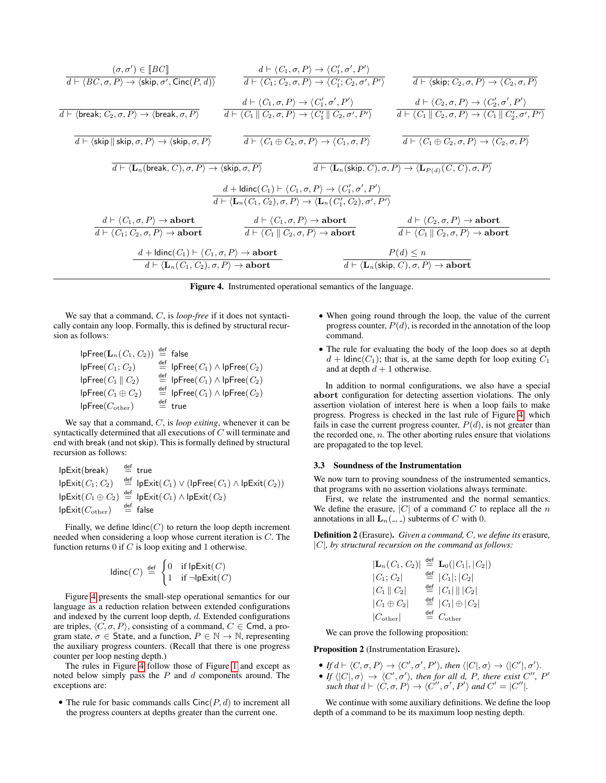| $(\sigma, \sigma') \in [BC]$                                                                                               | $d \vdash \langle C_1, \sigma, P \rangle \rightarrow \langle C'_1, \sigma', P' \rangle$                                       |                                                                                                                                     |
|----------------------------------------------------------------------------------------------------------------------------|-------------------------------------------------------------------------------------------------------------------------------|-------------------------------------------------------------------------------------------------------------------------------------|
| $d \vdash \langle BC, \sigma, P \rangle \rightarrow \langle \mathsf{skip}, \sigma', \mathsf{Cinc}(P, d) \rangle$           | $\overline{d} \vdash \langle C_1; C_2, \sigma, P \rangle \rightarrow \langle C'_1; C_2, \sigma', P' \rangle$                  | $d \vdash \langle$ skip; $C_2, \sigma, P \rangle \rightarrow \langle C_2, \sigma, P \rangle$                                        |
|                                                                                                                            | $d \vdash \langle C_1, \sigma, P \rangle \rightarrow \langle C'_1, \sigma', P' \rangle$                                       | $d \vdash \langle C_2, \sigma, P \rangle \rightarrow \langle C'_2, \sigma', P' \rangle$                                             |
| $d \vdash \langle \mathsf{break}; C_2, \sigma, P \rangle \rightarrow \langle \mathsf{break}, \sigma, P \rangle$            | $d \vdash \langle C_1 \parallel C_2, \sigma, P \rangle \rightarrow \langle C'_1 \parallel C_2, \sigma', P' \rangle$           | $d \vdash \langle C_1 \parallel C_2, \sigma, P \rangle \rightarrow \langle C_1 \parallel C'_2, \sigma', P' \rangle$                 |
| $d \vdash \langle$ skip $\parallel$ skip, $\sigma, P \rangle \rightarrow \langle$ skip, $\sigma, P \rangle$                | $d \vdash \langle C_1 \oplus C_2, \sigma, P \rangle \rightarrow \langle C_1, \sigma, P \rangle$                               | $d \vdash \langle C_1 \oplus C_2, \sigma, P \rangle \rightarrow \langle C_2, \sigma, P \rangle$                                     |
| $d \vdash \langle \mathbf{L}_n(\mathsf{break}, C), \sigma, P \rangle \rightarrow \langle \mathsf{skip}, \sigma, P \rangle$ |                                                                                                                               | $d \vdash \langle \mathbf{L}_n(\mathsf{skip}, C), \sigma, P \rangle \rightarrow \langle \mathbf{L}_{P(d)}(C, C), \sigma, P \rangle$ |
|                                                                                                                            | $d + \text{ldinc}(C_1) \vdash \langle C_1, \sigma, P \rangle \rightarrow \langle C'_1, \sigma', P' \rangle$                   |                                                                                                                                     |
|                                                                                                                            | $d \vdash \langle \mathbf{L}_n(C_1, C_2), \sigma, P \rangle \rightarrow \langle \mathbf{L}_n(C'_1, C_2), \sigma', P' \rangle$ |                                                                                                                                     |
| $d \vdash \langle C_1, \sigma, P \rangle \rightarrow \text{abort}$                                                         | $d \vdash \langle C_1, \sigma, P \rangle \rightarrow \textbf{abort}$                                                          | $d \vdash \langle C_2, \sigma, P \rangle \rightarrow \textbf{abort}$                                                                |
| $d \vdash \langle C_1; C_2, \sigma, P \rangle \rightarrow \textbf{abort}$                                                  | $d \vdash \langle C_1 \parallel C_2, \sigma, P \rangle \rightarrow \textbf{abort}$                                            | $d \vdash \langle C_1 \parallel C_2, \sigma, P \rangle \rightarrow$ abort                                                           |
| $d +$ ldinc $(C_1) \vdash \langle C_1, \sigma, P \rangle \rightarrow$ <b>abort</b>                                         |                                                                                                                               | $P(d) \leq n$                                                                                                                       |
| $d \vdash \langle \mathbf{L}_n(C_1, C_2), \sigma, P \rangle \rightarrow \text{abort}$                                      |                                                                                                                               | $d \vdash \langle \mathbf{L}_n(\mathsf{skip}, C), \sigma, P \rangle \rightarrow \textbf{abort}$                                     |

<span id="page-3-1"></span>Figure 4. Instrumented operational semantics of the language.

We say that a command, C, is *loop-free* if it does not syntactically contain any loop. Formally, this is defined by structural recursion as follows:

| $\mathsf{lpFree}(\mathbf{L}_{n}(C_1,C_2))$ | $\stackrel{\text{def}}{=}$ false                                  |
|--------------------------------------------|-------------------------------------------------------------------|
| $\mathsf{lpFree}(C_1;C_2)$                 | $\stackrel{\mathsf{def}}{=}$ IpFree $(C_1) \wedge$ IpFree $(C_2)$ |
| $\mathsf{lpFree}(C_1 \parallel C_2)$       | $\stackrel{\text{def}}{=}$ IpFree $(C_1) \wedge$ IpFree $(C_2)$   |
| $\mathsf{lpFree}(C_1 \oplus C_2)$          | $\stackrel{\text{def}}{=}$ IpFree $(C_1) \wedge$ IpFree $(C_2)$   |
| $\mathsf{lpFree}(C_{\mathrm{other}})$      | $\stackrel{\text{def}}{=}$ true                                   |

We say that a command, C, is *loop exiting*, whenever it can be syntactically determined that all executions of C will terminate and end with break (and not skip). This is formally defined by structural recursion as follows:

| lpExit(break)                 | $\stackrel{\text{def}}{=}$ true                                                                                 |
|-------------------------------|-----------------------------------------------------------------------------------------------------------------|
|                               | $I$ pExit $(C_1; C_2)$ $\stackrel{\text{def}}{=}$ IpExit $(C_1) \vee (I$ pFree $(C_1) \wedge I$ pExit $(C_2)$ ) |
|                               | $I$ pExit $(C_1 \oplus C_2) \stackrel{\text{def}}{=} I$ pExit $(C_1) \wedge I$ pExit $(C_2)$                    |
| $lpExit(C_{other})$ def false |                                                                                                                 |

Finally, we define  $\text{Idinc}(C)$  to return the loop depth increment needed when considering a loop whose current iteration is C. The function returns  $0$  if  $C$  is loop exiting and 1 otherwise.

$$
Idinc(C) \stackrel{\text{def}}{=} \begin{cases} 0 & \text{if } \mathsf{lpExit}(C) \\ 1 & \text{if } \mathsf{\neg lpExit}(C) \end{cases}
$$

Figure [4](#page-3-1) presents the small-step operational semantics for our language as a reduction relation between extended configurations and indexed by the current loop depth, d. Extended configurations are triples,  $\langle C, \sigma, P \rangle$ , consisting of a command,  $C \in \mathsf{Cmd}$ , a program state,  $\sigma \in$  State, and a function,  $P \in \mathbb{N} \to \mathbb{N}$ , representing the auxiliary progress counters. (Recall that there is one progress counter per loop nesting depth.)

The rules in Figure [4](#page-3-1) follow those of Figure [1](#page-1-1) and except as noted below simply pass the  $P$  and  $d$  components around. The exceptions are:

• The rule for basic commands calls  $Cinc(P, d)$  to increment all the progress counters at depths greater than the current one.

- When going round through the loop, the value of the current progress counter,  $P(d)$ , is recorded in the annotation of the loop command.
- The rule for evaluating the body of the loop does so at depth  $d +$  ldinc( $C_1$ ); that is, at the same depth for loop exiting  $C_1$ and at depth  $d + 1$  otherwise.

In addition to normal configurations, we also have a special abort configuration for detecting assertion violations. The only assertion violation of interest here is when a loop fails to make progress. Progress is checked in the last rule of Figure [4,](#page-3-1) which fails in case the current progress counter,  $P(d)$ , is not greater than the recorded one,  $n$ . The other aborting rules ensure that violations are propagated to the top level.

#### <span id="page-3-0"></span>3.3 Soundness of the Instrumentation

We now turn to proving soundness of the instrumented semantics, that programs with no assertion violations always terminate.

First, we relate the instrumented and the normal semantics. We define the erasure,  $|C|$  of a command C to replace all the n annotations in all  $\mathbf{L}_n($ ,  $)$  subterms of C with 0.

Definition 2 (Erasure). *Given a command,* C*, we define its* erasure*,* |C|*, by structural recursion on the command as follows:*

| $ \mathbf{L}_n(C_1, C_2) $ | $\stackrel{\text{def}}{=} {\bf L}_0( C_1 ,  C_2 )$      |
|----------------------------|---------------------------------------------------------|
| $ C_1; C_2 $               | $\stackrel{\text{def}}{=}  C_1 $ ; $ C_2 $              |
| $ C_1  C_2 $               | $\stackrel{\text{def}}{=}  C_1     C_2 $                |
| $ C_1 \oplus C_2 $         | $\stackrel{\mathsf{def}}{=}  C_1  \oplus  C_2 $         |
| $ C_{\rm other} $          | $\overset{\mathsf{def}}{=} \mathit{C}_{\mathrm{other}}$ |

We can prove the following proposition:

<span id="page-3-2"></span>Proposition 2 (Instrumentation Erasure).

- If  $d \vdash \langle C, \sigma, P \rangle \rightarrow \langle C', \sigma', P' \rangle$ , then  $\langle |C|, \sigma \rangle \rightarrow \langle |C'|, \sigma' \rangle$ .
- If  $\langle |C|, \sigma \rangle \rightarrow \langle C', \sigma' \rangle$ , then for all d, P, there exist C'', P' *such that*  $d \vdash \langle C, \sigma, P \rangle \rightarrow \langle C'', \sigma', P' \rangle$  *and*  $C' = |C''|$ *.*

We continue with some auxiliary definitions. We define the loop depth of a command to be its maximum loop nesting depth.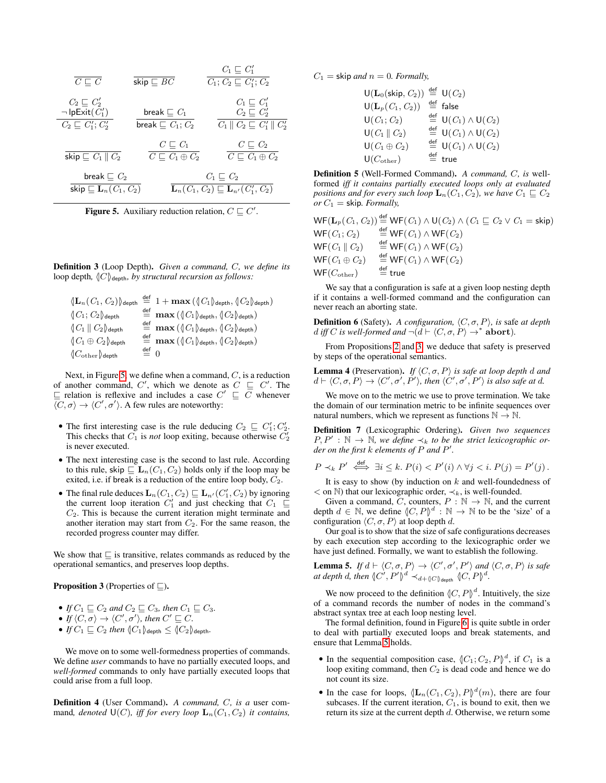| $C \sqsubseteq C$                                                             | skip $\sqsubseteq BC$                                     | $C_1 \sqsubset C'_1$<br>$C_1; C_2 \sqsubseteq C_1'; C_2$                                            |
|-------------------------------------------------------------------------------|-----------------------------------------------------------|-----------------------------------------------------------------------------------------------------|
| $C_2 \sqsubset C_2'$<br>$\neg$ lpExit $(C'_1)$<br>$C_2 \sqsubseteq C_1; C_2'$ | break $\sqsubseteq C_1$<br>break $\sqsubseteq C_1;$ $C_2$ | $C_1 \sqsubset C'_1$<br>$C_2 \sqsubset C_2'$<br>$C_1 \parallel C_2 \sqsubseteq C_1' \parallel C_2'$ |
| skip $\sqsubseteq C_1 \parallel C_2$                                          | $C \sqsubset C_1$<br>$C \sqsubseteq C_1 \oplus C_2$       | $C \sqsubset C_2$<br>$C \sqsubseteq C_1 \oplus C_2$                                                 |
| break $\sqsubseteq C_2$<br>skip $\sqsubseteq$ $\mathbf{L}_{n}(C_1, C_2)$      |                                                           | $C_1 \sqsubset C_2$<br>$\mathbf{L}_n(C_1, C_2) \sqsubseteq \mathbf{L}_{n'}(C'_1, C_2)$              |

<span id="page-4-0"></span>**Figure 5.** Auxiliary reduction relation,  $C \sqsubseteq C'$ .

Definition 3 (Loop Depth). *Given a command,* C*, we define its* loop depth,  $\langle C \rangle$ <sub>depth</sub>, *by structural recursion as follows:* 

$$
\begin{array}{ll}\n\langle \mathbf{L}_n(C_1, C_2) \rangle_{\text{depth}} & \stackrel{\text{def}}{=} 1 + \max \left( \langle C_1 \rangle_{\text{depth}}, \langle C_2 \rangle_{\text{depth}} \right) \\
\langle C_1; C_2 \rangle_{\text{depth}} & \stackrel{\text{def}}{=} \max \left( \langle C_1 \rangle_{\text{depth}}, \langle C_2 \rangle_{\text{depth}} \right) \\
\langle C_1 \parallel C_2 \rangle_{\text{depth}} & \stackrel{\text{def}}{=} \max \left( \langle C_1 \rangle_{\text{depth}}, \langle C_2 \rangle_{\text{depth}} \right) \\
\langle C_1 \oplus C_2 \rangle_{\text{depth}} & \stackrel{\text{def}}{=} \max \left( \langle C_1 \rangle_{\text{depth}}, \langle C_2 \rangle_{\text{depth}} \right) \\
\langle C_{\text{other}} \rangle_{\text{depth}} & \stackrel{\text{def}}{=} 0\n\end{array}
$$

Next, in Figure [5,](#page-4-0) we define when a command,  $C$ , is a reduction of another command, C', which we denote as  $C \subseteq C'$ . The  $\subseteq$  relation is reflexive and includes a case  $C' \subseteq \overline{C}$  whenever  $\langle C, \sigma \rangle \rightarrow \langle C', \sigma' \rangle$ . A few rules are noteworthy:

- The first interesting case is the rule deducing  $C_2 \sqsubseteq C_1; C_2'$ . This checks that  $C_1$  is *not* loop exiting, because otherwise  $C_2'$ is never executed.
- The next interesting case is the second to last rule. According to this rule, skip  $\sqsubseteq L_n(C_1, C_2)$  holds only if the loop may be exited, i.e. if break is a reduction of the entire loop body,  $C_2$ .
- The final rule deduces  $\mathbf{L}_n(C_1, C_2) \sqsubseteq \mathbf{L}_{n'}(C'_1, C_2)$  by ignoring the current loop iteration  $C'_1$  and just checking that  $C_1 \subseteq$  $C_2$ . This is because the current iteration might terminate and another iteration may start from  $C_2$ . For the same reason, the recorded progress counter may differ.

We show that  $\subseteq$  is transitive, relates commands as reduced by the operational semantics, and preserves loop depths.

## <span id="page-4-1"></span>**Proposition 3** (Properties of  $\sqsubseteq$ ).

• *If*  $C_1 \sqsubseteq C_2$  *and*  $C_2 \sqsubseteq C_3$ *, then*  $C_1 \sqsubseteq C_3$ *.* 

• If  $\langle C, \sigma \rangle \to \langle C', \sigma' \rangle$ , then  $C' \sqsubseteq C$ .

• *If*  $C_1 \sqsubseteq C_2$  *then*  $\langle |C_1| \rangle_{\text{depth}} \leq \langle |C_2| \rangle_{\text{depth}}$ .

We move on to some well-formedness properties of commands. We define *user* commands to have no partially executed loops, and *well-formed* commands to only have partially executed loops that could arise from a full loop.

Definition 4 (User Command). *A command,* C*, is a* user command, denoted  $U(C)$ *, iff for every loop*  $\mathbf{L}_n(C_1, C_2)$  *it contains,*   $C_1$  = skip *and*  $n = 0$ *. Formally,* 

$$
U(\mathbf{L}_0(\text{skip}, C_2)) \stackrel{\text{def}}{=} U(C_2)
$$
  
\n
$$
U(\mathbf{L}_p(C_1, C_2)) \stackrel{\text{def}}{=} \text{false}
$$
  
\n
$$
U(C_1; C_2) \stackrel{\text{def}}{=} U(C_1) \land U(C_2)
$$
  
\n
$$
U(C_1 \parallel C_2) \stackrel{\text{def}}{=} U(C_1) \land U(C_2)
$$
  
\n
$$
U(C_1 \oplus C_2) \stackrel{\text{def}}{=} U(C_1) \land U(C_2)
$$
  
\n
$$
U(C_{\text{other}}) \stackrel{\text{def}}{=} \text{true}
$$

Definition 5 (Well-Formed Command). *A command,* C*, is* wellformed *iff it contains partially executed loops only at evaluated positions and for every such loop*  $\mathbf{L}_n(C_1, C_2)$ *, we have*  $C_1 \sqsubseteq C_2$  $or C_1$  = skip*. Formally*,

|                         | $WF(\mathbf{L}_{p}(C_1, C_2)) \stackrel{\text{def}}{=} WF(C_1) \wedge \mathsf{U}(C_2) \wedge (C_1 \sqsubseteq C_2 \vee C_1 = \text{skip})$ |
|-------------------------|--------------------------------------------------------------------------------------------------------------------------------------------|
| $WF(C_1; C_2)$          | $\stackrel{\text{def}}{=} WF(C_1) \wedge WF(C_2)$                                                                                          |
| $WF(C_1 \parallel C_2)$ | $\stackrel{\text{def}}{=}$ WF(C <sub>1</sub> ) $\wedge$ WF(C <sub>2</sub> )                                                                |
| $WF(C_1 \oplus C_2)$    | $\stackrel{\text{def}}{=} WF(C_1) \wedge WF(C_2)$                                                                                          |
| $WF(C_{other})$         | $\stackrel{\text{def}}{=}$ true                                                                                                            |
|                         |                                                                                                                                            |

We say that a configuration is safe at a given loop nesting depth if it contains a well-formed command and the configuration can never reach an aborting state.

**Definition 6** (Safety). *A configuration,*  $\langle C, \sigma, P \rangle$ *, is safe at depth d iff* C *is well-formed and*  $\neg(d \vdash \langle C, \sigma, P \rangle \rightarrow^* \textbf{abort})$ *.* 

From Propositions [2](#page-3-2) and [3,](#page-4-1) we deduce that safety is preserved by steps of the operational semantics.

**Lemma 4** (Preservation). *If*  $\langle C, \sigma, P \rangle$  *is safe at loop depth d and*  $d \vdash \langle C, \sigma, P \rangle \rightarrow \langle C', \sigma', P' \rangle$ , then  $\langle C', \sigma', P' \rangle$  is also safe at d.

We move on to the metric we use to prove termination. We take the domain of our termination metric to be infinite sequences over natural numbers, which we represent as functions  $\mathbb{N} \to \mathbb{N}$ .

Definition 7 (Lexicographic Ordering). *Given two sequences*  $P, P' : \mathbb{N} \to \mathbb{N}$ , we define  $\prec_k$  to be the strict lexicographic or*der on the first* k *elements of* P *and* P 0 *.*

$$
P \prec_k P' \stackrel{\text{def}}{\iff} \exists i \leq k. \ P(i) < P'(i) \land \forall j < i. \ P(j) = P'(j).
$$

It is easy to show (by induction on  $k$  and well-foundedness of  $<$  on N) that our lexicographic order,  $\prec_k$ , is well-founded.

Given a command, C, counters,  $P : \mathbb{N} \to \mathbb{N}$ , and the current depth  $d \in \mathbb{N}$ , we define  $\langle C, P \rangle^d : \mathbb{N} \to \mathbb{N}$  to be the 'size' of a configuration  $\langle C, \sigma, P \rangle$  at loop depth d.

Our goal is to show that the size of safe configurations decreases by each execution step according to the lexicographic order we have just defined. Formally, we want to establish the following.

<span id="page-4-2"></span>**Lemma 5.** If 
$$
d \vdash \langle C, \sigma, P \rangle \rightarrow \langle C', \sigma', P' \rangle
$$
 and  $\langle C, \sigma, P \rangle$  is safe at depth d, then  $\langle C', P' \rangle^d \prec_{d+\langle C \rangle_{\text{depth}}}\langle C, P \rangle^d$ .

We now proceed to the definition  $\langle C, P \rangle^d$ . Intuitively, the size of a command records the number of nodes in the command's abstract syntax tree at each loop nesting level.

The formal definition, found in Figure [6,](#page-5-1) is quite subtle in order to deal with partially executed loops and break statements, and ensure that Lemma [5](#page-4-2) holds.

- In the sequential composition case,  $\langle C_1; C_2, P \rangle^d$ , if  $C_1$  is a loop exiting command, then  $C_2$  is dead code and hence we do not count its size.
- In the case for loops,  $\langle \mathbf{L}_n(C_1, C_2), P \rangle^d(m)$ , there are four subcases. If the current iteration,  $C_1$ , is bound to exit, then we return its size at the current depth d. Otherwise, we return some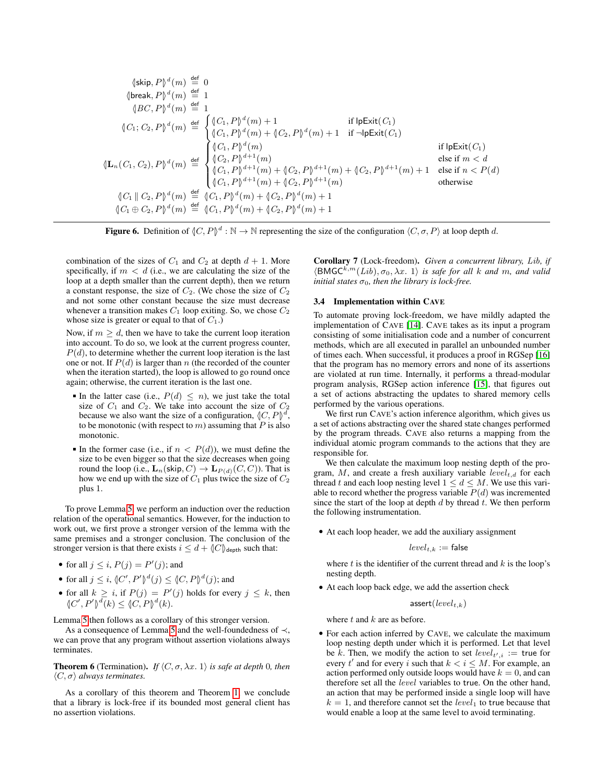$$
\langle \sin P \rangle^{d}(m) \stackrel{\text{def}}{=} 0
$$
\n
$$
\langle \sin P \rangle^{d}(m) \stackrel{\text{def}}{=} 1
$$
\n
$$
\langle C_1; C_2, P \rangle^{d}(m) \stackrel{\text{def}}{=} 1
$$
\n
$$
\langle C_1; C_2, P \rangle^{d}(m) \stackrel{\text{def}}{=} \begin{cases}\n\langle C_1, P \rangle^{d}(m) + 1 & \text{if } \text{IpExit}(C_1) \\
\langle C_1, P \rangle^{d}(m) + \langle C_2, P \rangle^{d}(m) + 1 & \text{if } \text{-IpExit}(C_1)\n\end{cases}
$$
\n
$$
\langle \ln(C_1, C_2), P \rangle^{d}(m) \stackrel{\text{def}}{=} \begin{cases}\n\langle C_1, P \rangle^{d}(m) & \text{if } \text{IpExit}(C_1) \\
\langle C_2, P \rangle^{d+1}(m) & \text{else if } m < d \\
\langle C_1, P \rangle^{d+1}(m) + \langle C_2, P \rangle^{d+1}(m) + \langle C_2, P \rangle^{d+1}(m) + 1 & \text{else if } n < P(d) \\
\langle C_1, P \rangle^{d+1}(m) + \langle C_2, P \rangle^{d+1}(m) & \text{otherwise}\n\end{cases}
$$
\n
$$
\langle C_1 \parallel C_2, P \rangle^{d}(m) \stackrel{\text{def}}{=} \langle C_1, P \rangle^{d}(m) + \langle C_2, P \rangle^{d}(m) + 1
$$
\n
$$
\langle C_1 \oplus C_2, P \rangle^{d}(m) \stackrel{\text{def}}{=} \langle C_1, P \rangle^{d}(m) + \langle C_2, P \rangle^{d}(m) + 1
$$

<span id="page-5-1"></span>**Figure 6.** Definition of  $\{C, P\}^d : \mathbb{N} \to \mathbb{N}$  representing the size of the configuration  $\langle C, \sigma, P \rangle$  at loop depth d.

combination of the sizes of  $C_1$  and  $C_2$  at depth  $d + 1$ . More specifically, if  $m < d$  (i.e., we are calculating the size of the loop at a depth smaller than the current depth), then we return a constant response, the size of  $C_2$ . (We chose the size of  $C_2$ and not some other constant because the size must decrease whenever a transition makes  $C_1$  loop exiting. So, we chose  $C_2$ whose size is greater or equal to that of  $C_1$ .)

Now, if  $m > d$ , then we have to take the current loop iteration into account. To do so, we look at the current progress counter,  $P(d)$ , to determine whether the current loop iteration is the last one or not. If  $P(d)$  is larger than n (the recorded of the counter when the iteration started), the loop is allowed to go round once again; otherwise, the current iteration is the last one.

- In the latter case (i.e.,  $P(d) \leq n$ ), we just take the total size of  $C_1$  and  $C_2$ . We take into account the size of  $C_2$ because we also want the size of a configuration,  $\langle C, P \rangle^d$ , to be monotonic (with respect to  $m$ ) assuming that  $\overline{P}$  is also monotonic.
- In the former case (i.e., if  $n < P(d)$ ), we must define the size to be even bigger so that the size decreases when going round the loop (i.e.,  $\mathbf{L}_n(\text{skip}, C) \to \mathbf{L}_{P(d)}(C, C)$ ). That is how we end up with the size of  $C_1$  plus twice the size of  $C_2$ plus 1.

To prove Lemma [5,](#page-4-2) we perform an induction over the reduction relation of the operational semantics. However, for the induction to work out, we first prove a stronger version of the lemma with the same premises and a stronger conclusion. The conclusion of the stronger version is that there exists  $i \leq d + \langle C \rangle_{\text{depth}}$  such that:

- for all  $j \leq i$ ,  $P(j) = P'(j)$ ; and
- for all  $j \leq i$ ,  $\langle C', P' \rangle^d(j) \leq \langle C, P \rangle^d(j)$ ; and
- for all  $k \geq i$ , if  $P(j) = P'(j)$  holds for every  $j \leq k$ , then  $\langle C', P' \rangle^d(k) \leq \langle C, P \rangle^d(k).$

Lemma [5](#page-4-2) then follows as a corollary of this stronger version.

As a consequence of Lemma [5](#page-4-2) and the well-foundedness of ≺, we can prove that any program without assertion violations always terminates.

**Theorem 6** (Termination). *If*  $\langle C, \sigma, \lambda x, 1 \rangle$  *is safe at depth* 0*, then*  $\langle C, \sigma \rangle$  *always terminates.* 

As a corollary of this theorem and Theorem [1,](#page-2-5) we conclude that a library is lock-free if its bounded most general client has no assertion violations.

Corollary 7 (Lock-freedom). *Given a concurrent library,* Lib*, if*  $\langle BMGC^{k,m}(Lib), \sigma_0, \lambda x. 1 \rangle$  *is safe for all k and m, and valid initial states*  $\sigma_0$ *, then the library is lock-free.* 

#### <span id="page-5-0"></span>3.4 Implementation within CAVE

To automate proving lock-freedom, we have mildly adapted the implementation of CAVE [\[14\]](#page-8-10). CAVE takes as its input a program consisting of some initialisation code and a number of concurrent methods, which are all executed in parallel an unbounded number of times each. When successful, it produces a proof in RGSep [\[16\]](#page-8-13) that the program has no memory errors and none of its assertions are violated at run time. Internally, it performs a thread-modular program analysis, RGSep action inference [\[15\]](#page-8-14), that figures out a set of actions abstracting the updates to shared memory cells performed by the various operations.

We first run CAVE's action inference algorithm, which gives us a set of actions abstracting over the shared state changes performed by the program threads. CAVE also returns a mapping from the individual atomic program commands to the actions that they are responsible for.

We then calculate the maximum loop nesting depth of the program,  $M$ , and create a fresh auxiliary variable  $level_{t,d}$  for each thread t and each loop nesting level  $1 \le d \le M$ . We use this variable to record whether the progress variable  $P(d)$  was incremented since the start of the loop at depth  $d$  by thread  $t$ . We then perform the following instrumentation.

• At each loop header, we add the auxiliary assignment

$$
level_{t,k} := \mathsf{false}
$$

where  $t$  is the identifier of the current thread and  $k$  is the loop's nesting depth.

• At each loop back edge, we add the assertion check

$$
\mathsf{assert}(level_{t,k})
$$

where  $t$  and  $k$  are as before.

• For each action inferred by CAVE, we calculate the maximum loop nesting depth under which it is performed. Let that level be k. Then, we modify the action to set  $level_{t',i} :=$  true for every t' and for every i such that  $k < i \le M$ . For example, an action performed only outside loops would have  $k = 0$ , and can therefore set all the level variables to true. On the other hand, an action that may be performed inside a single loop will have  $k = 1$ , and therefore cannot set the level<sub>1</sub> to true because that would enable a loop at the same level to avoid terminating.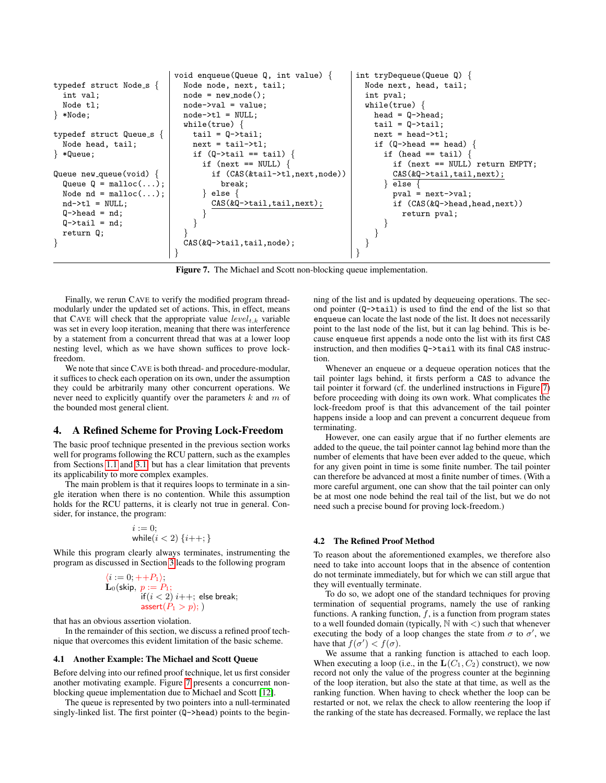```
typedef struct Node_s {
  int val;
  Node tl;
} *Node;
typedef struct Queue s {
  Node head, tail;
} *Queue;
Queue new_queue(void) \{Queue Q = \text{malloc}(\ldots);Node nd = malloc(...);nd->tl = NULL;
  Q->head = nd;
  Q->tail = nd;
  return Q;
}
                            void enqueue(Queue Q, int value) {
                              Node node, next, tail;
                              node = new\_node();
                              node->val = value;
                              node->t1 = NULL;while(true) {
                                tail = Q-\gt{tail};next = tail->tl;if (Q-\lambda)tail == tail) {
                                  if (next == NULL) {
                                    if (CAS(&tail->tl,next,node))
                                      break;
                                    } else {
                                    CAS(&Q->tail,tail,next);
                                  }
                                }
                              }
                              CAS(&Q->tail,tail,node);
                            }
                                                                      int tryDequeue(Queue Q) {
                                                                        Node next, head, tail;
                                                                        int pval;
                                                                        while(true) {
                                                                          head = Q->head;
                                                                          tail = Q-\gt{tail};next = head-zt1;if (Q->head == head) {
                                                                            if (head == tail) {
                                                                               if (next == NULL) return EMPTY;
                                                                               CAS(&Q->tail,tail,next);
                                                                             } else {
                                                                              pval = next->val;
                                                                               if (CAS(&Q->head,head,next))
                                                                                 return pval;
                                                                             }
                                                                          }
                                                                        }
                                                                      }
```
<span id="page-6-1"></span>Figure 7. The Michael and Scott non-blocking queue implementation.

Finally, we rerun CAVE to verify the modified program threadmodularly under the updated set of actions. This, in effect, means that CAVE will check that the appropriate value  $level_{t,k}$  variable was set in every loop iteration, meaning that there was interference by a statement from a concurrent thread that was at a lower loop nesting level, which as we have shown suffices to prove lockfreedom.

We note that since CAVE is both thread- and procedure-modular, it suffices to check each operation on its own, under the assumption they could be arbitrarily many other concurrent operations. We never need to explicitly quantify over the parameters  $k$  and  $m$  of the bounded most general client.

## <span id="page-6-0"></span>4. A Refined Scheme for Proving Lock-Freedom

The basic proof technique presented in the previous section works well for programs following the RCU pattern, such as the examples from Sections [1.1](#page-0-0) and [3.1,](#page-2-1) but has a clear limitation that prevents its applicability to more complex examples.

The main problem is that it requires loops to terminate in a single iteration when there is no contention. While this assumption holds for the RCU patterns, it is clearly not true in general. Consider, for instance, the program:

$$
i := 0;
$$
  
while $(i < 2)$  { $i++$ }; }

While this program clearly always terminates, instrumenting the program as discussed in Section [3](#page-2-0) leads to the following program

$$
\begin{array}{l} \langle i := 0; ++P_1 \rangle; \\ \mathbf{L}_0({\sf skip}, ~p := P_1; \\ \hspace{1.5em} \text{if} (i < 2)~i++; \text{ else break}; \\ \hspace{1.5em} \text{assert}(P_1 > p); \end{array}
$$

that has an obvious assertion violation.

In the remainder of this section, we discuss a refined proof technique that overcomes this evident limitation of the basic scheme.

#### <span id="page-6-2"></span>4.1 Another Example: The Michael and Scott Queue

Before delving into our refined proof technique, let us first consider another motivating example. Figure [7](#page-6-1) presents a concurrent nonblocking queue implementation due to Michael and Scott [\[12\]](#page-8-15).

The queue is represented by two pointers into a null-terminated singly-linked list. The first pointer (Q->head) points to the begin-

ning of the list and is updated by dequeueing operations. The second pointer (Q->tail) is used to find the end of the list so that enqueue can locate the last node of the list. It does not necessarily point to the last node of the list, but it can lag behind. This is because enqueue first appends a node onto the list with its first CAS instruction, and then modifies Q->tail with its final CAS instruction.

Whenever an enqueue or a dequeue operation notices that the tail pointer lags behind, it firsts perform a CAS to advance the tail pointer it forward (cf. the underlined instructions in Figure [7\)](#page-6-1) before proceeding with doing its own work. What complicates the lock-freedom proof is that this advancement of the tail pointer happens inside a loop and can prevent a concurrent dequeue from terminating.

However, one can easily argue that if no further elements are added to the queue, the tail pointer cannot lag behind more than the number of elements that have been ever added to the queue, which for any given point in time is some finite number. The tail pointer can therefore be advanced at most a finite number of times. (With a more careful argument, one can show that the tail pointer can only be at most one node behind the real tail of the list, but we do not need such a precise bound for proving lock-freedom.)

#### <span id="page-6-3"></span>4.2 The Refined Proof Method

To reason about the aforementioned examples, we therefore also need to take into account loops that in the absence of contention do not terminate immediately, but for which we can still argue that they will eventually terminate.

To do so, we adopt one of the standard techniques for proving termination of sequential programs, namely the use of ranking functions. A ranking function,  $f$ , is a function from program states to a well founded domain (typically,  $\mathbb N$  with  $\lt$ ) such that whenever executing the body of a loop changes the state from  $\sigma$  to  $\sigma'$ , we have that  $f(\sigma') < f(\sigma)$ .

We assume that a ranking function is attached to each loop. When executing a loop (i.e., in the  $\mathbf{L}(C_1, C_2)$  construct), we now record not only the value of the progress counter at the beginning of the loop iteration, but also the state at that time, as well as the ranking function. When having to check whether the loop can be restarted or not, we relax the check to allow reentering the loop if the ranking of the state has decreased. Formally, we replace the last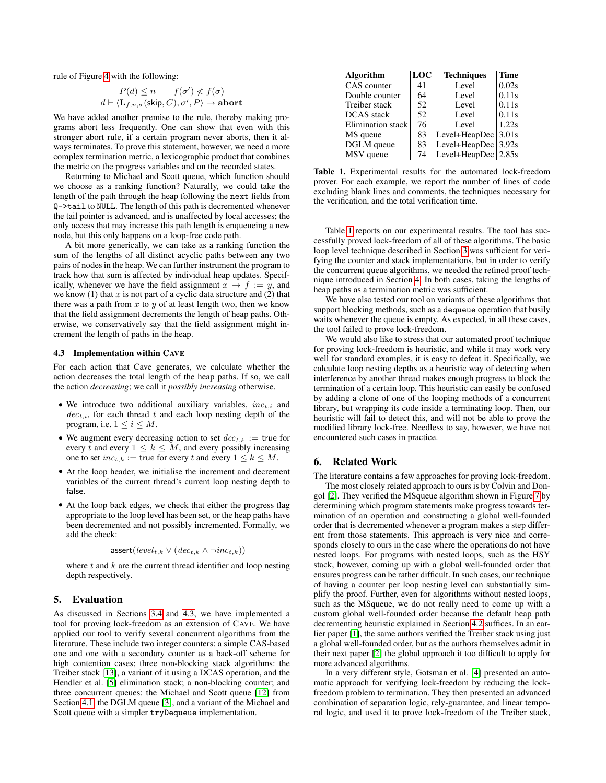rule of Figure [4](#page-3-1) with the following:

$$
\frac{P(d) \le n \qquad f(\sigma') \nless f(\sigma)}{d \vdash \langle \mathbf{L}_{f,n,\sigma}(\text{skip},C), \sigma', P \rangle \to \text{abort}}
$$

We have added another premise to the rule, thereby making programs abort less frequently. One can show that even with this stronger abort rule, if a certain program never aborts, then it always terminates. To prove this statement, however, we need a more complex termination metric, a lexicographic product that combines the metric on the progress variables and on the recorded states.

Returning to Michael and Scott queue, which function should we choose as a ranking function? Naturally, we could take the length of the path through the heap following the next fields from Q->tail to NULL. The length of this path is decremented whenever the tail pointer is advanced, and is unaffected by local accesses; the only access that may increase this path length is enqueueing a new node, but this only happens on a loop-free code path.

A bit more generically, we can take as a ranking function the sum of the lengths of all distinct acyclic paths between any two pairs of nodes in the heap. We can further instrument the program to track how that sum is affected by individual heap updates. Specifically, whenever we have the field assignment  $x \to f := y$ , and we know (1) that  $x$  is not part of a cyclic data structure and (2) that there was a path from  $x$  to  $y$  of at least length two, then we know that the field assignment decrements the length of heap paths. Otherwise, we conservatively say that the field assignment might increment the length of paths in the heap.

#### <span id="page-7-2"></span>4.3 Implementation within CAVE

For each action that Cave generates, we calculate whether the action decreases the total length of the heap paths. If so, we call the action *decreasing*; we call it *possibly increasing* otherwise.

- We introduce two additional auxiliary variables,  $inc_{t,i}$  and  $dec_{t,i}$ , for each thread t and each loop nesting depth of the program, i.e.  $1 \leq i \leq M$ .
- We augment every decreasing action to set  $dec_{t,k} :=$  true for every t and every  $1 \leq k \leq M$ , and every possibly increasing one to set  $inc_{t,k} :=$  true for every t and every  $1 \leq k \leq M$ .
- At the loop header, we initialise the increment and decrement variables of the current thread's current loop nesting depth to false.
- At the loop back edges, we check that either the progress flag appropriate to the loop level has been set, or the heap paths have been decremented and not possibly incremented. Formally, we add the check:

$$
\mathsf{assert}(level_{t,k} \lor (dec_{t,k} \land \neg inc_{t,k}))
$$

where  $t$  and  $k$  are the current thread identifier and loop nesting depth respectively.

### <span id="page-7-1"></span>5. Evaluation

As discussed in Sections [3.4](#page-5-0) and [4.3,](#page-7-2) we have implemented a tool for proving lock-freedom as an extension of CAVE. We have applied our tool to verify several concurrent algorithms from the literature. These include two integer counters: a simple CAS-based one and one with a secondary counter as a back-off scheme for high contention cases; three non-blocking stack algorithms: the Treiber stack [\[13\]](#page-8-9), a variant of it using a DCAS operation, and the Hendler et al. [\[5\]](#page-8-12) elimination stack; a non-blocking counter; and three concurrent queues: the Michael and Scott queue [\[12\]](#page-8-15) from Section [4.1,](#page-6-2) the DGLM queue [\[3\]](#page-8-16), and a variant of the Michael and Scott queue with a simpler tryDequeue implementation.

| Algorithm          | <b>LOC</b> | <b>Techniques</b>      | Time  |
|--------------------|------------|------------------------|-------|
| <b>CAS</b> counter | 41         | Level                  | 0.02s |
| Double counter     | 64         | Level                  | 0.11s |
| Treiber stack      | 52         | Level                  | 0.11s |
| <b>DCAS</b> stack  | 52         | Level                  | 0.11s |
| Elimination stack  | 76         | Level                  | 1.22s |
| MS queue           | 83         | Level+HeapDec $ 3.01s$ |       |
| DGLM queue         | 83         | Level+HeapDec $ 3.92s$ |       |
| MSV queue          | 74         | Level+HeapDec 2.85s    |       |

<span id="page-7-3"></span>Table 1. Experimental results for the automated lock-freedom prover. For each example, we report the number of lines of code excluding blank lines and comments, the techniques necessary for the verification, and the total verification time.

Table [1](#page-7-3) reports on our experimental results. The tool has successfully proved lock-freedom of all of these algorithms. The basic loop level technique described in Section [3](#page-2-0) was sufficient for verifying the counter and stack implementations, but in order to verify the concurrent queue algorithms, we needed the refined proof technique introduced in Section [4.](#page-6-0) In both cases, taking the lengths of heap paths as a termination metric was sufficient.

We have also tested our tool on variants of these algorithms that support blocking methods, such as a dequeue operation that busily waits whenever the queue is empty. As expected, in all these cases, the tool failed to prove lock-freedom.

We would also like to stress that our automated proof technique for proving lock-freedom is heuristic, and while it may work very well for standard examples, it is easy to defeat it. Specifically, we calculate loop nesting depths as a heuristic way of detecting when interference by another thread makes enough progress to block the termination of a certain loop. This heuristic can easily be confused by adding a clone of one of the looping methods of a concurrent library, but wrapping its code inside a terminating loop. Then, our heuristic will fail to detect this, and will not be able to prove the modified library lock-free. Needless to say, however, we have not encountered such cases in practice.

#### <span id="page-7-0"></span>6. Related Work

The literature contains a few approaches for proving lock-freedom.

The most closely related approach to ours is by Colvin and Dongol [\[2\]](#page-8-6). They verified the MSqueue algorithm shown in Figure [7](#page-6-1) by determining which program statements make progress towards termination of an operation and constructing a global well-founded order that is decremented whenever a program makes a step different from those statements. This approach is very nice and corresponds closely to ours in the case where the operations do not have nested loops. For programs with nested loops, such as the HSY stack, however, coming up with a global well-founded order that ensures progress can be rather difficult. In such cases, our technique of having a counter per loop nesting level can substantially simplify the proof. Further, even for algorithms without nested loops, such as the MSqueue, we do not really need to come up with a custom global well-founded order because the default heap path decrementing heuristic explained in Section [4.2](#page-6-3) suffices. In an earlier paper [\[1\]](#page-8-5), the same authors verified the Treiber stack using just a global well-founded order, but as the authors themselves admit in their next paper [\[2\]](#page-8-6) the global approach it too difficult to apply for more advanced algorithms.

In a very different style, Gotsman et al. [\[4\]](#page-8-4) presented an automatic approach for verifying lock-freedom by reducing the lockfreedom problem to termination. They then presented an advanced combination of separation logic, rely-guarantee, and linear temporal logic, and used it to prove lock-freedom of the Treiber stack,